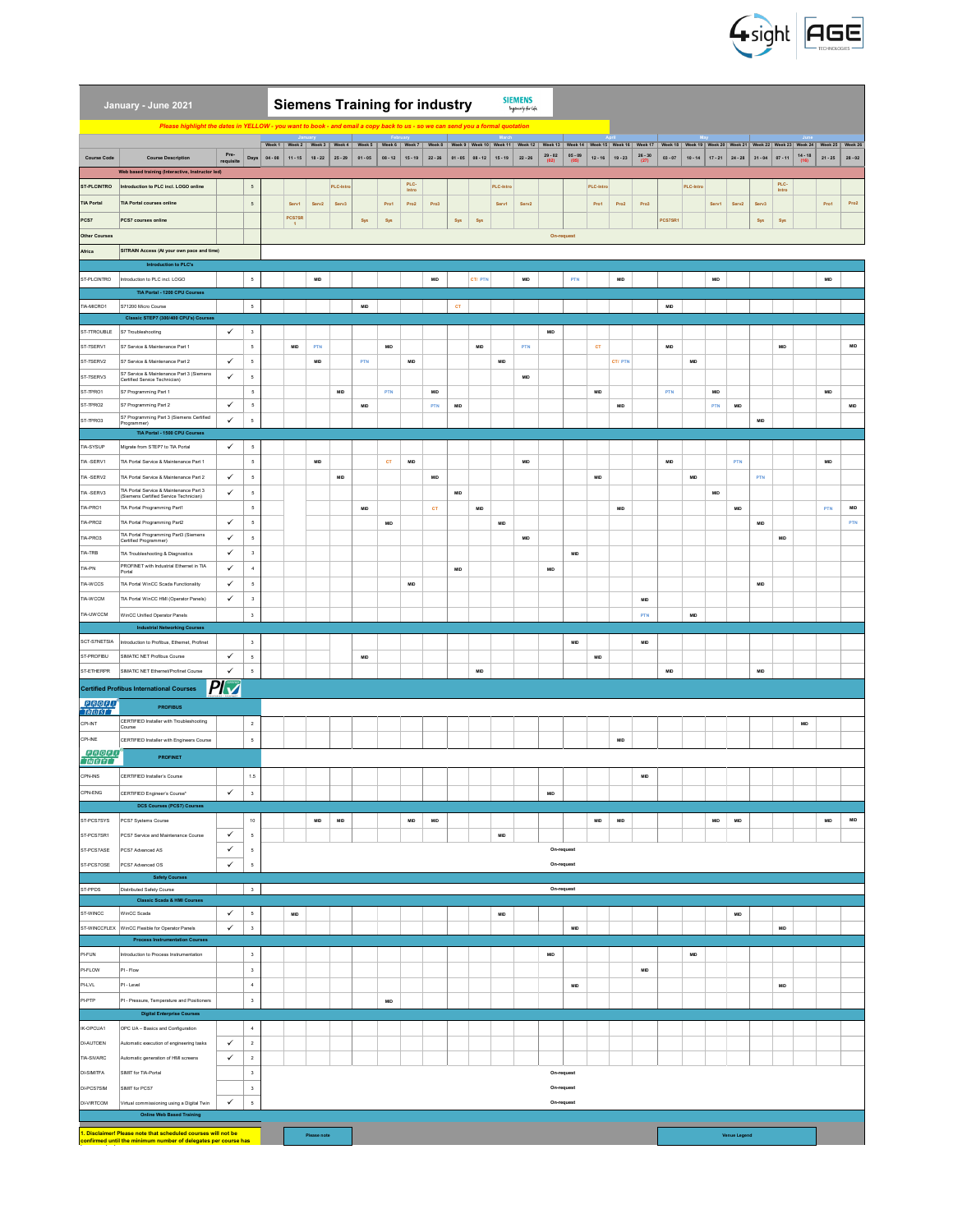

|                                 | January - June 2021                                                                                               |                   | <b>SIEMENS</b><br><b>Siemens Training for industry</b><br>logensity for life<br>Please highlight the dates in YELLOW - you want to book - and email a copy back to us - so we can send you a formal quotation |           |               |                 |                             |                                                                                                                                                                                                                                |                 |                |                        |            |                |            |                   |                             |                          |                             |                             |                   |                 |                 |                             |                |                 |                |                   |                 |                 |
|---------------------------------|-------------------------------------------------------------------------------------------------------------------|-------------------|---------------------------------------------------------------------------------------------------------------------------------------------------------------------------------------------------------------|-----------|---------------|-----------------|-----------------------------|--------------------------------------------------------------------------------------------------------------------------------------------------------------------------------------------------------------------------------|-----------------|----------------|------------------------|------------|----------------|------------|-------------------|-----------------------------|--------------------------|-----------------------------|-----------------------------|-------------------|-----------------|-----------------|-----------------------------|----------------|-----------------|----------------|-------------------|-----------------|-----------------|
|                                 |                                                                                                                   |                   |                                                                                                                                                                                                               |           |               |                 |                             |                                                                                                                                                                                                                                |                 |                |                        |            |                |            |                   |                             |                          |                             |                             |                   |                 |                 |                             |                |                 |                |                   |                 |                 |
|                                 |                                                                                                                   |                   |                                                                                                                                                                                                               |           |               |                 |                             | Week 1   Week 2   Week 3   Week 4   Week 5   Week 5   Week 7   Week 3   Week 9   Week 10   Week 12   Week 12   Week 13   Week 14   Week 15   Week 15   Week 17   Week 17   Week 18   Week 19   Week 22   Week 22   Week 23   W |                 |                |                        |            |                |            |                   | $29 - 02$                   | $05 - 09$                |                             |                             |                   |                 |                 |                             |                |                 |                |                   |                 |                 |
| <b>Course Code</b>              | <b>Course Description</b><br>Web based training (Interactive, Instructor led)                                     | Pre-<br>requisite | Days                                                                                                                                                                                                          | $04 - 08$ | $11 - 15$     | $18 - 22$       | $25 - 29$                   | $01 - 05$                                                                                                                                                                                                                      | $08 - 12$       | $15 - 19$      | $22 - 26$              | $01 - 05$  | $08 - 12$      | $15 - 19$  | $22 - 26$         | (02)                        | (05)                     | $12 - 16$                   | $19 - 23$                   | $26 - 30$<br>(27) | $03 - 07$       | $10 - 14$       | $17 - 21$                   | $24 - 28$      | $31 - 04$       | $07 - 11$      | $14 - 18$<br>(16) | $21 - 25$       | $28 - 02$       |
| ST-PLCINTRO                     | Introduction to PLC incl. LOGO online                                                                             |                   | $\sqrt{5}$                                                                                                                                                                                                    |           |               |                 | PLC-Intr                    |                                                                                                                                                                                                                                |                 | PLC-           |                        |            |                | PLC-Intro  |                   |                             |                          | PLC-Intro                   |                             |                   |                 | PLC-Intro       |                             |                |                 | PLC-           |                   |                 |                 |
| <b>TIA Portal</b>               | <b>TIA Portal courses online</b>                                                                                  |                   | $\sqrt{5}$                                                                                                                                                                                                    |           | Servi         | Serv2           | Serv3                       |                                                                                                                                                                                                                                | Pro1            | Intro<br>Pro2  | Pro3                   |            |                | Serv1      | Serv <sub>2</sub> |                             |                          | Pro1                        | Pro2                        | Pro3              |                 |                 | Serv1                       | Serv2          | Serv3           | Intro          |                   | Pro1            | Pro2            |
|                                 |                                                                                                                   |                   |                                                                                                                                                                                                               |           | <b>PCS7SR</b> |                 |                             |                                                                                                                                                                                                                                |                 |                |                        |            |                |            |                   |                             |                          |                             |                             |                   |                 |                 |                             |                |                 |                |                   |                 |                 |
| PCS7<br><b>Other Courses</b>    | PCS7 courses online                                                                                               |                   |                                                                                                                                                                                                               |           |               |                 |                             | Sys                                                                                                                                                                                                                            | Sys             |                |                        | Sys        | Sys            |            |                   |                             |                          |                             |                             |                   | PCS7SR1         |                 |                             |                | Sys             | Sys            |                   |                 |                 |
| Africa                          | SITRAIN Access (At your own pace and time)                                                                        |                   |                                                                                                                                                                                                               |           |               |                 |                             |                                                                                                                                                                                                                                |                 |                |                        |            |                |            |                   |                             | On-request               |                             |                             |                   |                 |                 |                             |                |                 |                |                   |                 |                 |
|                                 | Introduction to PLC's                                                                                             |                   |                                                                                                                                                                                                               |           |               |                 |                             |                                                                                                                                                                                                                                |                 |                |                        |            |                |            |                   |                             |                          |                             |                             |                   |                 |                 |                             |                |                 |                |                   |                 |                 |
| ST-PLCINTRO                     | Introduction to PLC incl. LOGO                                                                                    |                   | $\sqrt{5}$                                                                                                                                                                                                    |           |               | MD              |                             |                                                                                                                                                                                                                                |                 |                | MD                     |            | CT/ PTN        |            | MD                |                             | PTN                      |                             | $\textsf{MID}$              |                   |                 |                 | $\ensuremath{\mathsf{MID}}$ |                |                 |                |                   | <b>MID</b>      |                 |
|                                 | TIA Portal - 1200 CPU Courses                                                                                     |                   |                                                                                                                                                                                                               |           |               |                 |                             |                                                                                                                                                                                                                                |                 |                |                        |            |                |            |                   |                             |                          |                             |                             |                   |                 |                 |                             |                |                 |                |                   |                 |                 |
| TIA-MICRO1                      | S71200 Micro Course                                                                                               |                   | $\sqrt{5}$                                                                                                                                                                                                    |           |               |                 |                             | $\ensuremath{\mathsf{MID}}$                                                                                                                                                                                                    |                 |                |                        | CT.        |                |            |                   |                             |                          |                             |                             |                   | $\textsf{MD}{}$ |                 |                             |                |                 |                |                   |                 |                 |
| ST-7TROUBLE                     | Classic STEP7 (300/400 CPU's) Courses<br>S7 Troubleshooting                                                       | $\checkmark$      | $_{\rm 3}$                                                                                                                                                                                                    |           |               |                 |                             |                                                                                                                                                                                                                                |                 |                |                        |            |                |            |                   | <b>MID</b>                  |                          |                             |                             |                   |                 |                 |                             |                |                 |                |                   |                 |                 |
| ST-7SERV1                       | S7 Service & Maintenance Part 1                                                                                   |                   | $\mathsf{s}$                                                                                                                                                                                                  |           | MID           | PTN             |                             |                                                                                                                                                                                                                                | $\textsf{MD}{}$ |                |                        |            | $_{\rm MD}$    |            | PTN               |                             |                          | сT                          |                             |                   | MID             |                 |                             |                |                 | MID            |                   |                 | $\textsf{MD}{}$ |
| ST-7SERV2                       | S7 Service & Maintenance Part 2                                                                                   | $\checkmark$      | $\sqrt{5}$                                                                                                                                                                                                    |           |               | <b>MID</b>      |                             | PTN                                                                                                                                                                                                                            |                 | MID            |                        |            |                | MID        |                   |                             |                          |                             | <b>CT/PTN</b>               |                   |                 | <b>MID</b>      |                             |                |                 |                |                   |                 |                 |
| ST-7SERV3                       | S7 Service & Maintenance Part 3 (Siemens<br>Certified Service Technician)                                         | ✓                 | $\sf 5$                                                                                                                                                                                                       |           |               |                 |                             |                                                                                                                                                                                                                                |                 |                |                        |            |                |            | $\textsf{MD}{}$   |                             |                          |                             |                             |                   |                 |                 |                             |                |                 |                |                   |                 |                 |
| ST-7PRO1                        | S7 Programming Part 1                                                                                             |                   | $\sqrt{5}$                                                                                                                                                                                                    |           |               |                 | <b>MID</b>                  |                                                                                                                                                                                                                                | PTN             |                | <b>MID</b>             |            |                |            |                   |                             |                          | MID                         |                             |                   | PTN             |                 | MID                         |                |                 |                |                   | <b>MID</b>      |                 |
| ST-7PRO2                        | S7 Programming Part 2                                                                                             | $\checkmark$      | $\sqrt{5}$                                                                                                                                                                                                    |           |               |                 |                             | MID                                                                                                                                                                                                                            |                 |                | PTN                    | MID        |                |            |                   |                             |                          |                             | $\ensuremath{\mathsf{MID}}$ |                   |                 |                 | PTN                         | MD             |                 |                |                   |                 | MD              |
| ST-7PRO3                        | S7 Programming Part 3 (Siemens Certified<br>Programmer)                                                           | $\checkmark$      | $\sqrt{5}$                                                                                                                                                                                                    |           |               |                 |                             |                                                                                                                                                                                                                                |                 |                |                        |            |                |            |                   |                             |                          |                             |                             |                   |                 |                 |                             |                | MD              |                |                   |                 |                 |
|                                 | TIA Portal - 1500 CPU Courses                                                                                     |                   |                                                                                                                                                                                                               |           |               |                 |                             |                                                                                                                                                                                                                                |                 |                |                        |            |                |            |                   |                             |                          |                             |                             |                   |                 |                 |                             |                |                 |                |                   |                 |                 |
| <b>TIA-SYSUP</b>                | Migrate from STEP7 to TIA Portal                                                                                  | $\checkmark$      | $\sqrt{5}$                                                                                                                                                                                                    |           |               |                 |                             |                                                                                                                                                                                                                                |                 |                |                        |            |                |            |                   |                             |                          |                             |                             |                   |                 |                 |                             |                |                 |                |                   |                 |                 |
| TIA-SERV1                       | TIA Portal Service & Maintenance Part 1                                                                           | $\checkmark$      | $\sqrt{5}$                                                                                                                                                                                                    |           |               | <b>MD</b>       |                             |                                                                                                                                                                                                                                | <b>CT</b>       | <b>MID</b>     |                        |            |                |            | <b>MD</b>         |                             |                          |                             |                             |                   | <b>MID</b>      |                 |                             | PTN            |                 |                |                   | <b>MID</b>      |                 |
| TIA-SERV2<br>TIA-SERV3          | TIA Portal Service & Maintenance Part 2                                                                           | $\checkmark$      | $\sqrt{5}$<br>5                                                                                                                                                                                               |           |               |                 | MD                          |                                                                                                                                                                                                                                |                 |                | $\textsf{MD}{}$        |            |                |            |                   |                             |                          | MID                         |                             |                   |                 | $\textsf{MD}{}$ |                             |                | PTN             |                |                   |                 |                 |
| TIA-PRO1                        | TIA Portal Service & Maintenance Part 3<br>(Siemens Certified Service Technician)<br>TIA Portal Programming Part1 |                   | $\sqrt{5}$                                                                                                                                                                                                    |           |               |                 |                             | MID                                                                                                                                                                                                                            |                 |                | $\mathsf{c}\mathsf{r}$ | <b>MID</b> | $\textsf{MID}$ |            |                   |                             |                          |                             | MID                         |                   |                 |                 | $\ensuremath{\mathsf{MID}}$ | MD             |                 |                |                   | PTN             | $\textsf{MD}{}$ |
| TIA-PRO2                        | TIA Portal Programming Part2                                                                                      | $\checkmark$      | $\sqrt{5}$                                                                                                                                                                                                    |           |               |                 |                             |                                                                                                                                                                                                                                | <b>MD</b>       |                |                        |            |                | <b>MID</b> |                   |                             |                          |                             |                             |                   |                 |                 |                             |                | <b>MID</b>      |                |                   |                 | PTN             |
| TIA-PRO3                        | TIA Portal Programming Part3 (Siemens                                                                             | $\checkmark$      | $\sqrt{5}$                                                                                                                                                                                                    |           |               |                 |                             |                                                                                                                                                                                                                                |                 |                |                        |            |                |            | $\textsf{MD}{}$   |                             |                          |                             |                             |                   |                 |                 |                             |                |                 | $\textsf{MID}$ |                   |                 |                 |
| <b>TIA-TRB</b>                  | Certified Programmer)<br>TIA Troubleshooting & Diagnostics                                                        | $\checkmark$      | $\overline{\mathbf{3}}$                                                                                                                                                                                       |           |               |                 |                             |                                                                                                                                                                                                                                |                 |                |                        |            |                |            |                   |                             | <b>MID</b>               |                             |                             |                   |                 |                 |                             |                |                 |                |                   |                 |                 |
| TIA-PN                          | PROFINET with Industrial Ethernet in TIA<br>Portal                                                                | $\checkmark$      | $\sqrt{4}$                                                                                                                                                                                                    |           |               |                 |                             |                                                                                                                                                                                                                                |                 |                |                        | MID        |                |            |                   | $\ensuremath{\mathsf{MID}}$ |                          |                             |                             |                   |                 |                 |                             |                |                 |                |                   |                 |                 |
| TIA-WCCS                        | TIA Portal WinCC Scada Functionality                                                                              | $\checkmark$      | $\sqrt{5}$                                                                                                                                                                                                    |           |               |                 |                             |                                                                                                                                                                                                                                |                 | MID            |                        |            |                |            |                   |                             |                          |                             |                             |                   |                 |                 |                             |                | $\textsf{MD}{}$ |                |                   |                 |                 |
| TIA-WCCM                        | TIA Portal WinCC HMI (Operator Panels)                                                                            | $\checkmark$      | $^{\rm 3}$                                                                                                                                                                                                    |           |               |                 |                             |                                                                                                                                                                                                                                |                 |                |                        |            |                |            |                   |                             |                          |                             |                             | <b>MID</b>        |                 |                 |                             |                |                 |                |                   |                 |                 |
| TIA-UWCCM                       | WinCC Unified Operator Panels                                                                                     |                   | $\mathbf 3$                                                                                                                                                                                                   |           |               |                 |                             |                                                                                                                                                                                                                                |                 |                |                        |            |                |            |                   |                             |                          |                             |                             | PTN               |                 | $\textsf{MD}{}$ |                             |                |                 |                |                   |                 |                 |
|                                 | <b>Industrial Networking Courses</b>                                                                              |                   |                                                                                                                                                                                                               |           |               |                 |                             |                                                                                                                                                                                                                                |                 |                |                        |            |                |            |                   |                             |                          |                             |                             |                   |                 |                 |                             |                |                 |                |                   |                 |                 |
| SCT-S7NETSIA                    | Introduction to Profibus, Ethernet, Profinet                                                                      |                   | $\overline{\mathbf{3}}$                                                                                                                                                                                       |           |               |                 |                             |                                                                                                                                                                                                                                |                 |                |                        |            |                |            |                   |                             | <b>MID</b>               |                             |                             | <b>MID</b>        |                 |                 |                             |                |                 |                |                   |                 |                 |
| ST-PROFIBU                      | SIMATIC NET Profibus Course                                                                                       | ✓                 | $\sf 5$                                                                                                                                                                                                       |           |               |                 |                             | $\ensuremath{\mathsf{MID}}$                                                                                                                                                                                                    |                 |                |                        |            |                |            |                   |                             |                          | MID                         |                             |                   |                 |                 |                             |                |                 |                |                   |                 |                 |
| ST-ETHERPR                      | SIMATIC NET Ethernet/Profinet Course                                                                              | $\checkmark$      | $\mathsf{s}$                                                                                                                                                                                                  |           |               |                 |                             |                                                                                                                                                                                                                                |                 |                |                        |            | MID            |            |                   |                             |                          |                             |                             |                   | MID             |                 |                             |                | MD              |                |                   |                 |                 |
|                                 | <b>Certified Profibus International Courses</b>                                                                   | $P{\cup}$         |                                                                                                                                                                                                               |           |               |                 |                             |                                                                                                                                                                                                                                |                 |                |                        |            |                |            |                   |                             |                          |                             |                             |                   |                 |                 |                             |                |                 |                |                   |                 |                 |
| <b>PROFIL</b><br><b>TBTUTST</b> | <b>PROFIBUS</b>                                                                                                   |                   |                                                                                                                                                                                                               |           |               |                 |                             |                                                                                                                                                                                                                                |                 |                |                        |            |                |            |                   |                             |                          |                             |                             |                   |                 |                 |                             |                |                 |                |                   |                 |                 |
| <b>CPI-INT</b>                  | CERTIFIED Installer with Troubleshooting<br>Course                                                                |                   | $\overline{2}$                                                                                                                                                                                                |           |               |                 |                             |                                                                                                                                                                                                                                |                 |                |                        |            |                |            |                   |                             |                          |                             |                             |                   |                 |                 |                             |                |                 |                | <b>MID</b>        |                 |                 |
| <b>CPI-INE</b>                  | CERTIFIED Installer with Engineers Course                                                                         |                   | $\sqrt{5}$                                                                                                                                                                                                    |           |               |                 |                             |                                                                                                                                                                                                                                |                 |                |                        |            |                |            |                   |                             |                          |                             | <b>MID</b>                  |                   |                 |                 |                             |                |                 |                |                   |                 |                 |
| <b>PROFIT</b><br><b>INEITI</b>  | <b>PROFINET</b>                                                                                                   |                   |                                                                                                                                                                                                               |           |               |                 |                             |                                                                                                                                                                                                                                |                 |                |                        |            |                |            |                   |                             |                          |                             |                             |                   |                 |                 |                             |                |                 |                |                   |                 |                 |
| CPN-INS                         | CERTIFIED Installer's Course                                                                                      |                   | 1.5                                                                                                                                                                                                           |           |               |                 |                             |                                                                                                                                                                                                                                |                 |                |                        |            |                |            |                   |                             |                          |                             |                             | MID               |                 |                 |                             |                |                 |                |                   |                 |                 |
| CPN-ENG                         | CERTIFIED Engineer's Course*                                                                                      | $\checkmark$      | $_{\rm 3}$                                                                                                                                                                                                    |           |               |                 |                             |                                                                                                                                                                                                                                |                 |                |                        |            |                |            |                   | <b>MID</b>                  |                          |                             |                             |                   |                 |                 |                             |                |                 |                |                   |                 |                 |
|                                 | <b>DCS Courses (PCS7) Courses</b>                                                                                 |                   |                                                                                                                                                                                                               |           |               |                 |                             |                                                                                                                                                                                                                                |                 |                |                        |            |                |            |                   |                             |                          |                             |                             |                   |                 |                 |                             |                |                 |                |                   |                 |                 |
| ST-PCS7SYS                      | PCS7 Systems Course                                                                                               |                   | 10                                                                                                                                                                                                            |           |               | $\textsf{MD}{}$ | $\ensuremath{\mathsf{MID}}$ |                                                                                                                                                                                                                                |                 | $\textsf{MID}$ | $\textsf{MD}{}$        |            |                |            |                   |                             |                          | $\ensuremath{\mathsf{MID}}$ | $\ensuremath{\mathsf{MID}}$ |                   |                 |                 | $\ensuremath{\mathsf{MID}}$ | $\textsf{MID}$ |                 |                |                   | $\textsf{MD}{}$ | $\texttt{MD}{}$ |
| ST-PCS7SR1                      | PCS7 Service and Maintenance Course                                                                               |                   |                                                                                                                                                                                                               |           |               |                 |                             |                                                                                                                                                                                                                                |                 |                |                        |            |                |            |                   |                             |                          |                             |                             |                   |                 |                 |                             |                |                 |                |                   |                 |                 |
| ST-PCS7ASE                      |                                                                                                                   | $\checkmark$      | $\sqrt{5}$                                                                                                                                                                                                    |           |               |                 |                             |                                                                                                                                                                                                                                |                 |                |                        |            |                | <b>MID</b> |                   |                             |                          |                             |                             |                   |                 |                 |                             |                |                 |                |                   |                 |                 |
|                                 | PCS7 Advanced AS                                                                                                  | $\checkmark$      | $\sqrt{5}$                                                                                                                                                                                                    |           |               |                 |                             |                                                                                                                                                                                                                                |                 |                |                        |            |                |            |                   |                             | On-request               |                             |                             |                   |                 |                 |                             |                |                 |                |                   |                 |                 |
| ST-PCS70SE                      | PCS7 Advanced OS                                                                                                  | $\checkmark$      | $\sqrt{5}$                                                                                                                                                                                                    |           |               |                 |                             |                                                                                                                                                                                                                                |                 |                |                        |            |                |            |                   |                             | On-request               |                             |                             |                   |                 |                 |                             |                |                 |                |                   |                 |                 |
| ST-PPDS                         | <b>Safety Courses</b><br>Distributed Safety Course                                                                |                   | $\ensuremath{\mathbf{3}}$                                                                                                                                                                                     |           |               |                 |                             |                                                                                                                                                                                                                                |                 |                |                        |            |                |            |                   |                             | On-request               |                             |                             |                   |                 |                 |                             |                |                 |                |                   |                 |                 |
|                                 | <b>Classic Scada &amp; HMI Courses</b>                                                                            |                   |                                                                                                                                                                                                               |           |               |                 |                             |                                                                                                                                                                                                                                |                 |                |                        |            |                |            |                   |                             |                          |                             |                             |                   |                 |                 |                             |                |                 |                |                   |                 |                 |
| ST-WINCC                        | WinCC Scada                                                                                                       | $\checkmark$      | $\sqrt{5}$                                                                                                                                                                                                    |           | <b>MID</b>    |                 |                             |                                                                                                                                                                                                                                |                 |                |                        |            |                | <b>MID</b> |                   |                             |                          |                             |                             |                   |                 |                 |                             | <b>MID</b>     |                 |                |                   |                 |                 |
|                                 | ST-WINCCFLEX WinCC Flexible for Operator Panels<br><b>Process Instrumentation Courses</b>                         | $\checkmark$      | $_{\rm 3}$                                                                                                                                                                                                    |           |               |                 |                             |                                                                                                                                                                                                                                |                 |                |                        |            |                |            |                   |                             | MD                       |                             |                             |                   |                 |                 |                             |                |                 | MID            |                   |                 |                 |
| PI-FUN                          | Introduction to Process Instrumentation                                                                           |                   | $\mathbf{3}$                                                                                                                                                                                                  |           |               |                 |                             |                                                                                                                                                                                                                                |                 |                |                        |            |                |            |                   | <b>MID</b>                  |                          |                             |                             |                   |                 | <b>MID</b>      |                             |                |                 |                |                   |                 |                 |
| PI-FLOW                         | PI - Flow                                                                                                         |                   | $_{\rm 3}$                                                                                                                                                                                                    |           |               |                 |                             |                                                                                                                                                                                                                                |                 |                |                        |            |                |            |                   |                             |                          |                             |                             | <b>MID</b>        |                 |                 |                             |                |                 |                |                   |                 |                 |
| PI-LVL                          | PI - Level                                                                                                        |                   | $\overline{4}$                                                                                                                                                                                                |           |               |                 |                             |                                                                                                                                                                                                                                |                 |                |                        |            |                |            |                   |                             | <b>MID</b>               |                             |                             |                   |                 |                 |                             |                |                 | $\textsf{MID}$ |                   |                 |                 |
| PI-PTP                          | PI - Pressure, Temperature and Positioners                                                                        |                   | $\sqrt{3}$                                                                                                                                                                                                    |           |               |                 |                             |                                                                                                                                                                                                                                | <b>MID</b>      |                |                        |            |                |            |                   |                             |                          |                             |                             |                   |                 |                 |                             |                |                 |                |                   |                 |                 |
|                                 | <b>Digital Enterprise Courses</b>                                                                                 |                   |                                                                                                                                                                                                               |           |               |                 |                             |                                                                                                                                                                                                                                |                 |                |                        |            |                |            |                   |                             |                          |                             |                             |                   |                 |                 |                             |                |                 |                |                   |                 |                 |
| IK-OPCUA1                       | OPC UA - Basics and Configuration                                                                                 |                   | $\,$ 4 $\,$                                                                                                                                                                                                   |           |               |                 |                             |                                                                                                                                                                                                                                |                 |                |                        |            |                |            |                   |                             |                          |                             |                             |                   |                 |                 |                             |                |                 |                |                   |                 |                 |
| <b>DI-AUTOEN</b>                | Automatic execution of engineering tasks                                                                          | $\checkmark$      | $\overline{2}$                                                                                                                                                                                                |           |               |                 |                             |                                                                                                                                                                                                                                |                 |                |                        |            |                |            |                   |                             |                          |                             |                             |                   |                 |                 |                             |                |                 |                |                   |                 |                 |
| TIA-SIVARC                      | Automatic generation of HMI screens                                                                               | ✓                 | $\sqrt{2}$                                                                                                                                                                                                    |           |               |                 |                             |                                                                                                                                                                                                                                |                 |                |                        |            |                |            |                   |                             |                          |                             |                             |                   |                 |                 |                             |                |                 |                |                   |                 |                 |
| <b>DI-SIMITFA</b>               | SIMIT for TIA-Portal<br>SIMIT for PCS7                                                                            |                   | $\mathbf{3}$                                                                                                                                                                                                  |           |               |                 |                             |                                                                                                                                                                                                                                |                 |                |                        |            |                |            |                   |                             | On-request<br>On-request |                             |                             |                   |                 |                 |                             |                |                 |                |                   |                 |                 |
| DI-PCS7SIM<br><b>DI-VIRTCOM</b> | Virtual commissioning using a Digital Twin                                                                        | $\checkmark$      | $_{\rm 3}$<br>$\sqrt{5}$                                                                                                                                                                                      |           |               |                 |                             |                                                                                                                                                                                                                                |                 |                |                        |            |                |            |                   |                             | On-request               |                             |                             |                   |                 |                 |                             |                |                 |                |                   |                 |                 |
|                                 | <b>Online Web Based Training</b>                                                                                  |                   |                                                                                                                                                                                                               |           |               |                 |                             |                                                                                                                                                                                                                                |                 |                |                        |            |                |            |                   |                             |                          |                             |                             |                   |                 |                 |                             |                |                 |                |                   |                 |                 |